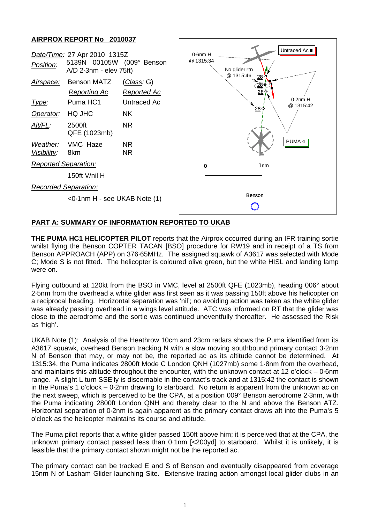## **AIRPROX REPORT No 2010037**



## **PART A: SUMMARY OF INFORMATION REPORTED TO UKAB**

**THE PUMA HC1 HELICOPTER PILOT** reports that the Airprox occurred during an IFR training sortie whilst flying the Benson COPTER TACAN [BSO] procedure for RW19 and in receipt of a TS from Benson APPROACH (APP) on 376·65MHz. The assigned squawk of A3617 was selected with Mode C; Mode S is not fitted. The helicopter is coloured olive green, but the white HISL and landing lamp were on.

Flying outbound at 120kt from the BSO in VMC, level at 2500ft QFE (1023mb), heading 006° about 2·5nm from the overhead a white glider was first seen as it was passing 150ft above his helicopter on a reciprocal heading. Horizontal separation was 'nil'; no avoiding action was taken as the white glider was already passing overhead in a wings level attitude. ATC was informed on RT that the glider was close to the aerodrome and the sortie was continued uneventfully thereafter. He assessed the Risk as 'high'.

UKAB Note (1): Analysis of the Heathrow 10cm and 23cm radars shows the Puma identified from its A3617 squawk, overhead Benson tracking N with a slow moving southbound primary contact 3·2nm N of Benson that may, or may not be, the reported ac as its altitude cannot be determined. At 1315:34, the Puma indicates 2800ft Mode C London QNH (1027mb) some 1·8nm from the overhead, and maintains this altitude throughout the encounter, with the unknown contact at 12 o'clock – 0·6nm range. A slight L turn SSE'ly is discernable in the contact's track and at 1315:42 the contact is shown in the Puma's 1 o'clock – 0·2nm drawing to starboard. No return is apparent from the unknown ac on the next sweep, which is perceived to be the CPA, at a position 009° Benson aerodrome 2·3nm, with the Puma indicating 2800ft London QNH and thereby clear to the N and above the Benson ATZ. Horizontal separation of 0·2nm is again apparent as the primary contact draws aft into the Puma's 5 o'clock as the helicopter maintains its course and altitude.

The Puma pilot reports that a white glider passed 150ft above him; it is perceived that at the CPA, the unknown primary contact passed less than 0·1nm [<200yd] to starboard. Whilst it is unlikely, it is feasible that the primary contact shown might not be the reported ac.

The primary contact can be tracked E and S of Benson and eventually disappeared from coverage 15nm N of Lasham Glider launching Site. Extensive tracing action amongst local glider clubs in an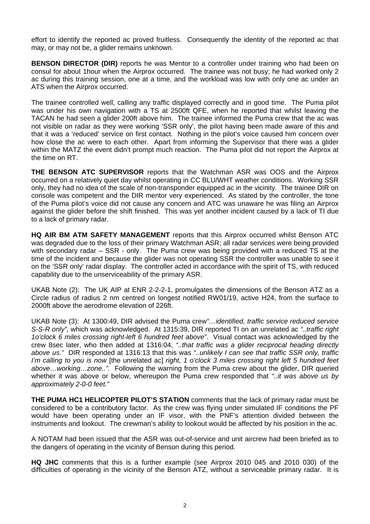effort to identify the reported ac proved fruitless. Consequently the identity of the reported ac that may, or may not be, a glider remains unknown.

**BENSON DIRECTOR (DIR)** reports he was Mentor to a controller under training who had been on consul for about 1hour when the Airprox occurred. The trainee was not busy; he had worked only 2 ac during this training session, one at a time, and the workload was low with only one ac under an ATS when the Airprox occurred.

The trainee controlled well, calling any traffic displayed correctly and in good time. The Puma pilot was under his own navigation with a TS at 2500ft QFE, when he reported that whilst leaving the TACAN he had seen a glider 200ft above him. The trainee informed the Puma crew that the ac was not visible on radar as they were working 'SSR only', the pilot having been made aware of this and that it was a 'reduced' service on first contact. Nothing in the pilot's voice caused him concern over how close the ac were to each other. Apart from informing the Supervisor that there was a glider within the MATZ the event didn't prompt much reaction. The Puma pilot did not report the Airprox at the time on RT.

**THE BENSON ATC SUPERVISOR** reports that the Watchman ASR was OOS and the Airprox occurred on a relatively quiet day whilst operating in CC BLU/WHT weather conditions. Working SSR only, they had no idea of the scale of non-transponder equipped ac in the vicinity. The trainee DIR on console was competent and the DIR mentor very experienced. As stated by the controller, the tone of the Puma pilot's voice did not cause any concern and ATC was unaware he was filing an Airprox against the glider before the shift finished. This was yet another incident caused by a lack of TI due to a lack of primary radar.

**HQ AIR BM ATM SAFETY MANAGEMENT** reports that this Airprox occurred whilst Benson ATC was degraded due to the loss of their primary Watchman ASR; all radar services were being provided with secondary radar – SSR - only. The Puma crew was being provided with a reduced TS at the time of the incident and because the glider was not operating SSR the controller was unable to see it on the 'SSR only' radar display. The controller acted in accordance with the spirit of TS, with reduced capability due to the unserviceability of the primary ASR.

UKAB Note (2): The UK AIP at ENR 2-2-2-1, promulgates the dimensions of the Benson ATZ as a Circle radius of radius 2 nm centred on longest notified RW01/19, active H24, from the surface to 2000ft above the aerodrome elevation of 226ft.

UKAB Note (3): At 1300:49, DIR advised the Puma crew*"…identified, traffic service reduced service S-S-R only",* which was acknowledged. At 1315:39, DIR reported TI on an unrelated ac *"..traffic right 1o'clock 6 miles crossing right-left 6 hundred feet above"*. Visual contact was acknowledged by the crew 8sec later, who then added at 1316:04, *"..that traffic was a glider reciprocal heading directly above us."* DIR responded at 1316:13 that this was *"..unlikely I can see that traffic SSR only, traffic I'm calling to you is now* [the unrelated ac] *right, 1 o'clock 3 miles crossing right left 5 hundred feet above…working…zone..".* Following the warning from the Puma crew about the glider, DIR queried whether it was above or below, whereupon the Puma crew responded that *"..it was above us by approximately 2-0-0 feet."*

**THE PUMA HC1 HELICOPTER PILOT'S STATION** comments that the lack of primary radar must be considered to be a contributory factor. As the crew was flying under simulated IF conditions the PF would have been operating under an IF visor, with the PNF's attention divided between the instruments and lookout. The crewman's ability to lookout would be affected by his position in the ac.

A NOTAM had been issued that the ASR was out-of-service and unit aircrew had been briefed as to the dangers of operating in the vicinity of Benson during this period.

**HQ JHC** comments that this is a further example (see Airprox 2010 045 and 2010 030) of the difficulties of operating in the vicinity of the Benson ATZ, without a serviceable primary radar. It is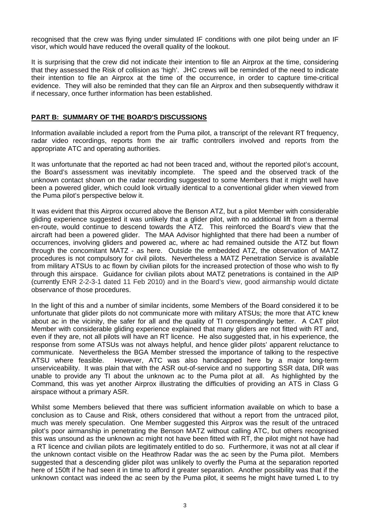recognised that the crew was flying under simulated IF conditions with one pilot being under an IF visor, which would have reduced the overall quality of the lookout.

It is surprising that the crew did not indicate their intention to file an Airprox at the time, considering that they assessed the Risk of collision as 'high'. JHC crews will be reminded of the need to indicate their intention to file an Airprox at the time of the occurrence, in order to capture time-critical evidence. They will also be reminded that they can file an Airprox and then subsequently withdraw it if necessary, once further information has been established.

## **PART B: SUMMARY OF THE BOARD'S DISCUSSIONS**

Information available included a report from the Puma pilot, a transcript of the relevant RT frequency, radar video recordings, reports from the air traffic controllers involved and reports from the appropriate ATC and operating authorities.

It was unfortunate that the reported ac had not been traced and, without the reported pilot's account, the Board's assessment was inevitably incomplete. The speed and the observed track of the unknown contact shown on the radar recording suggested to some Members that it might well have been a powered glider, which could look virtually identical to a conventional glider when viewed from the Puma pilot's perspective below it.

It was evident that this Airprox occurred above the Benson ATZ, but a pilot Member with considerable gliding experience suggested it was unlikely that a glider pilot, with no additional lift from a thermal en-route, would continue to descend towards the ATZ. This reinforced the Board's view that the aircraft had been a powered glider. The MAA Advisor highlighted that there had been a number of occurrences, involving gliders and powered ac, where ac had remained outside the ATZ but flown through the concomitant MATZ - as here. Outside the embedded ATZ, the observation of MATZ procedures is not compulsory for civil pilots. Nevertheless a MATZ Penetration Service is available from military ATSUs to ac flown by civilian pilots for the increased protection of those who wish to fly through this airspace. Guidance for civilian pilots about MATZ penetrations is contained in the AIP (currently ENR 2-2-3-1 dated 11 Feb 2010) and in the Board's view, good airmanship would dictate observance of those procedures.

In the light of this and a number of similar incidents, some Members of the Board considered it to be unfortunate that glider pilots do not communicate more with military ATSUs; the more that ATC knew about ac in the vicinity, the safer for all and the quality of TI correspondingly better. A CAT pilot Member with considerable gliding experience explained that many gliders are not fitted with RT and, even if they are, not all pilots will have an RT licence. He also suggested that, in his experience, the response from some ATSUs was not always helpful, and hence glider pilots' apparent reluctance to communicate. Nevertheless the BGA Member stressed the importance of talking to the respective ATSU where feasible. However, ATC was also handicapped here by a major long-term unserviceability. It was plain that with the ASR out-of-service and no supporting SSR data, DIR was unable to provide any TI about the unknown ac to the Puma pilot at all. As highlighted by the Command, this was yet another Airprox illustrating the difficulties of providing an ATS in Class G airspace without a primary ASR.

Whilst some Members believed that there was sufficient information available on which to base a conclusion as to Cause and Risk, others considered that without a report from the untraced pilot, much was merely speculation. One Member suggested this Airprox was the result of the untraced pilot's poor airmanship in penetrating the Benson MATZ without calling ATC, but others recognised this was unsound as the unknown ac might not have been fitted with RT, the pilot might not have had a RT licence and civilian pilots are legitimately entitled to do so. Furthermore, it was not at all clear if the unknown contact visible on the Heathrow Radar was the ac seen by the Puma pilot. Members suggested that a descending glider pilot was unlikely to overfly the Puma at the separation reported here of 150ft if he had seen it in time to afford it greater separation. Another possibility was that if the unknown contact was indeed the ac seen by the Puma pilot, it seems he might have turned L to try